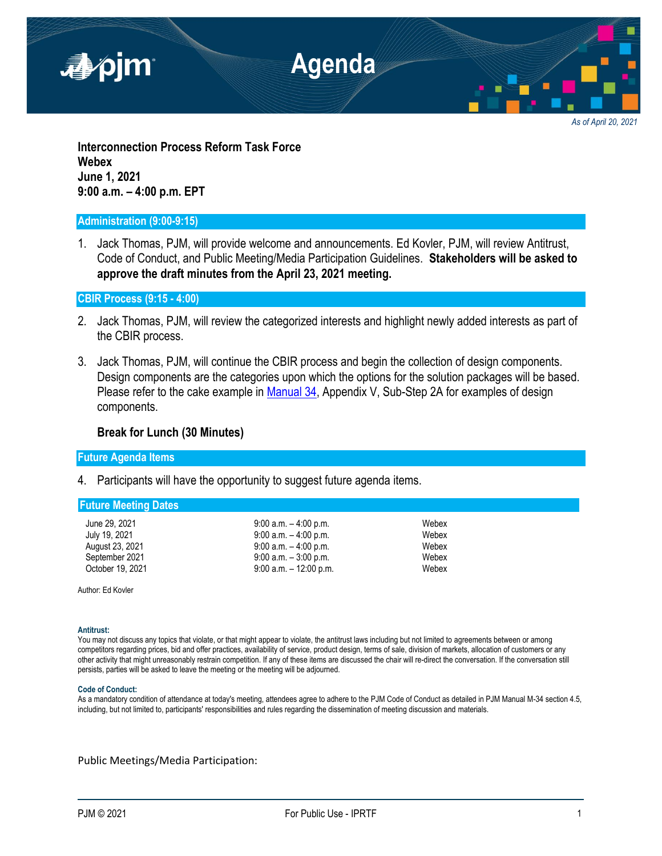

*As of April 20, 2021*

**Interconnection Process Reform Task Force Webex June 1, 2021 9:00 a.m. – 4:00 p.m. EPT**

### **Administration (9:00-9:15)**

1. Jack Thomas, PJM, will provide welcome and announcements. Ed Kovler, PJM, will review Antitrust, Code of Conduct, and Public Meeting/Media Participation Guidelines. **Stakeholders will be asked to approve the draft minutes from the April 23, 2021 meeting.**

**CBIR Process (9:15 - 4:00)**

- 2. Jack Thomas, PJM, will review the categorized interests and highlight newly added interests as part of the CBIR process.
- 3. Jack Thomas, PJM, will continue the CBIR process and begin the collection of design components. Design components are the categories upon which the options for the solution packages will be based. Please refer to the cake example in [Manual 34,](https://pjm.com/-/media/documents/manuals/m34.ashx) Appendix V, Sub-Step 2A for examples of design components.

# **Break for Lunch (30 Minutes)**

## **Future Agenda Items**

4. Participants will have the opportunity to suggest future agenda items.

### **Future Meeting Dates**

- 
- June 29, 2021 **9:00 a.m.** 4:00 p.m. July 19, 2021 9:00 a.m. – 4:00 p.m. Webex August 23, 2021 9:00 a.m. – 4:00 p.m. September 2021 9:00 a.m. – 3:00 p.m. Webex October 19, 2021 9:00 a.m. – 12:00 p.m. Webex

Author: Ed Kovler

### **Antitrust:**

You may not discuss any topics that violate, or that might appear to violate, the antitrust laws including but not limited to agreements between or among competitors regarding prices, bid and offer practices, availability of service, product design, terms of sale, division of markets, allocation of customers or any other activity that might unreasonably restrain competition. If any of these items are discussed the chair will re-direct the conversation. If the conversation still persists, parties will be asked to leave the meeting or the meeting will be adjourned.

### **Code of Conduct:**

As a mandatory condition of attendance at today's meeting, attendees agree to adhere to the PJM Code of Conduct as detailed in PJM Manual M-34 section 4.5, including, but not limited to, participants' responsibilities and rules regarding the dissemination of meeting discussion and materials.

Public Meetings/Media Participation: